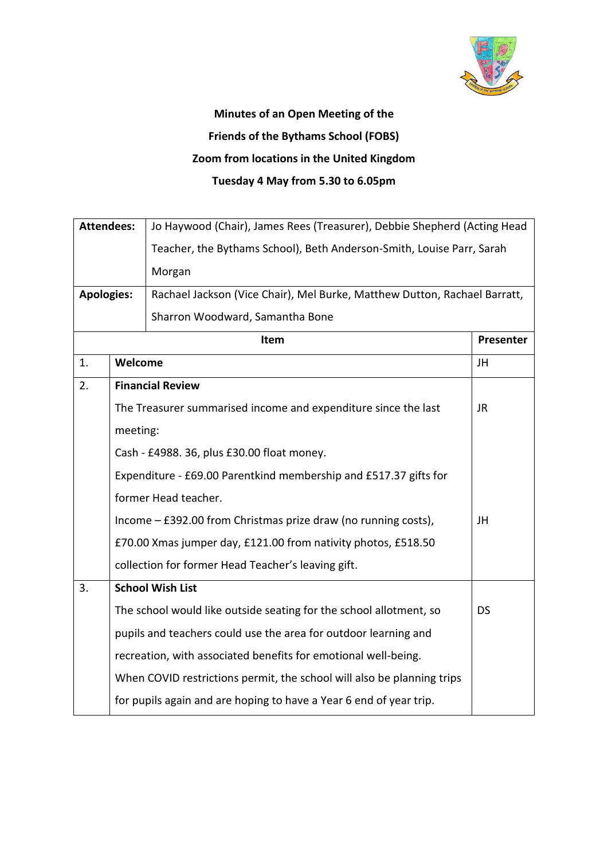

## **Minutes of an Open Meeting of the Friends of the Bythams School (FOBS) Zoom from locations in the United Kingdom Tuesday 4 May from 5.30 to 6.05pm**

| <b>Attendees:</b> |                                                                  | Jo Haywood (Chair), James Rees (Treasurer), Debbie Shepherd (Acting Head  |           |  |
|-------------------|------------------------------------------------------------------|---------------------------------------------------------------------------|-----------|--|
|                   |                                                                  | Teacher, the Bythams School), Beth Anderson-Smith, Louise Parr, Sarah     |           |  |
|                   |                                                                  | Morgan                                                                    |           |  |
| <b>Apologies:</b> |                                                                  | Rachael Jackson (Vice Chair), Mel Burke, Matthew Dutton, Rachael Barratt, |           |  |
|                   |                                                                  | Sharron Woodward, Samantha Bone                                           |           |  |
|                   |                                                                  | Item                                                                      | Presenter |  |
| 1.                | Welcome                                                          |                                                                           | JH        |  |
| 2.                |                                                                  | <b>Financial Review</b>                                                   |           |  |
|                   |                                                                  | The Treasurer summarised income and expenditure since the last            | <b>JR</b> |  |
|                   | meeting:                                                         |                                                                           |           |  |
|                   |                                                                  | Cash - £4988. 36, plus £30.00 float money.                                |           |  |
|                   | Expenditure - £69.00 Parentkind membership and £517.37 gifts for |                                                                           |           |  |
|                   | former Head teacher.                                             |                                                                           |           |  |
|                   |                                                                  | Income - £392.00 from Christmas prize draw (no running costs),            | JH        |  |
|                   |                                                                  | £70.00 Xmas jumper day, £121.00 from nativity photos, £518.50             |           |  |
|                   |                                                                  | collection for former Head Teacher's leaving gift.                        |           |  |
| 3.                |                                                                  | <b>School Wish List</b>                                                   |           |  |
|                   |                                                                  | The school would like outside seating for the school allotment, so        | <b>DS</b> |  |
|                   |                                                                  | pupils and teachers could use the area for outdoor learning and           |           |  |
|                   |                                                                  | recreation, with associated benefits for emotional well-being.            |           |  |
|                   |                                                                  | When COVID restrictions permit, the school will also be planning trips    |           |  |
|                   |                                                                  | for pupils again and are hoping to have a Year 6 end of year trip.        |           |  |